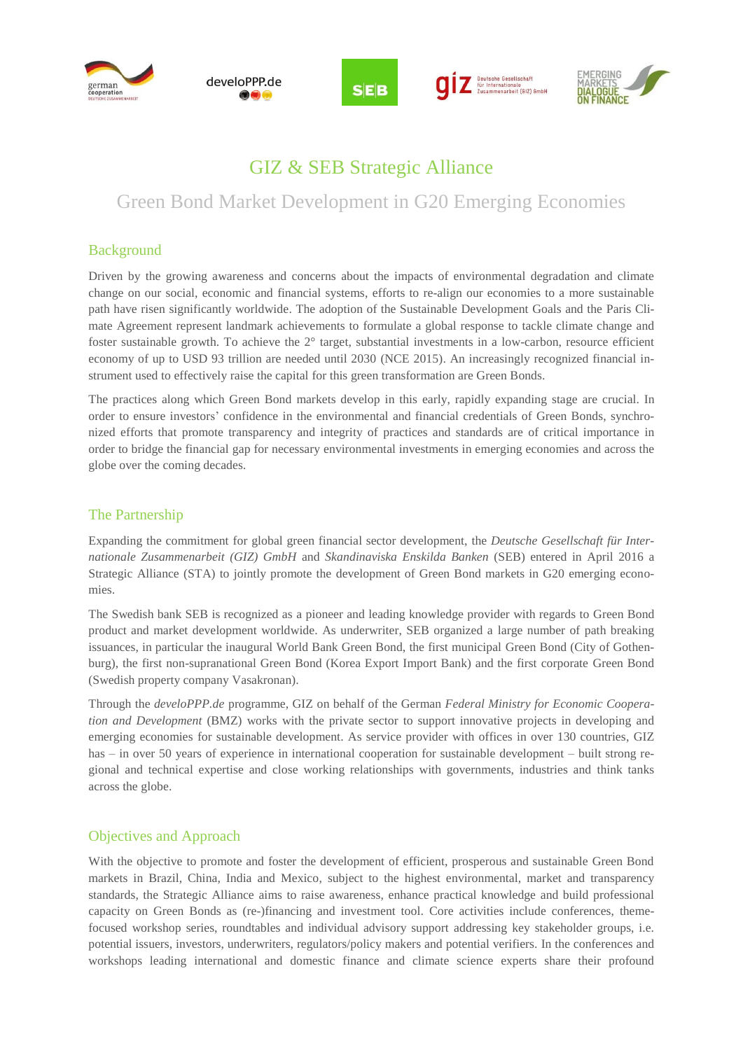









## GIZ & SEB Strategic Alliance

# Green Bond Market Development in G20 Emerging Economies

## Background

Driven by the growing awareness and concerns about the impacts of environmental degradation and climate change on our social, economic and financial systems, efforts to re-align our economies to a more sustainable path have risen significantly worldwide. The adoption of the Sustainable Development Goals and the Paris Climate Agreement represent landmark achievements to formulate a global response to tackle climate change and foster sustainable growth. To achieve the  $2^{\circ}$  target, substantial investments in a low-carbon, resource efficient economy of up to USD 93 trillion are needed until 2030 (NCE 2015). An increasingly recognized financial instrument used to effectively raise the capital for this green transformation are Green Bonds.

The practices along which Green Bond markets develop in this early, rapidly expanding stage are crucial. In order to ensure investors' confidence in the environmental and financial credentials of Green Bonds, synchronized efforts that promote transparency and integrity of practices and standards are of critical importance in order to bridge the financial gap for necessary environmental investments in emerging economies and across the globe over the coming decades.

#### The Partnership

Expanding the commitment for global green financial sector development, the *Deutsche Gesellschaft für Internationale Zusammenarbeit (GIZ) GmbH* and *Skandinaviska Enskilda Banken* (SEB) entered in April 2016 a Strategic Alliance (STA) to jointly promote the development of Green Bond markets in G20 emerging economies.

The Swedish bank SEB is recognized as a pioneer and leading knowledge provider with regards to Green Bond product and market development worldwide. As underwriter, SEB organized a large number of path breaking issuances, in particular the inaugural World Bank Green Bond, the first municipal Green Bond (City of Gothenburg), the first non-supranational Green Bond (Korea Export Import Bank) and the first corporate Green Bond (Swedish property company Vasakronan).

Through the *develoPPP.de* programme, GIZ on behalf of the German *Federal Ministry for Economic Cooperation and Development* (BMZ) works with the private sector to support innovative projects in developing and emerging economies for sustainable development. As service provider with offices in over 130 countries, GIZ has – in over 50 years of experience in international cooperation for sustainable development – built strong regional and technical expertise and close working relationships with governments, industries and think tanks across the globe.

### Objectives and Approach

With the objective to promote and foster the development of efficient, prosperous and sustainable Green Bond markets in Brazil, China, India and Mexico, subject to the highest environmental, market and transparency standards, the Strategic Alliance aims to raise awareness, enhance practical knowledge and build professional capacity on Green Bonds as (re-)financing and investment tool. Core activities include conferences, themefocused workshop series, roundtables and individual advisory support addressing key stakeholder groups, i.e. potential issuers, investors, underwriters, regulators/policy makers and potential verifiers. In the conferences and workshops leading international and domestic finance and climate science experts share their profound